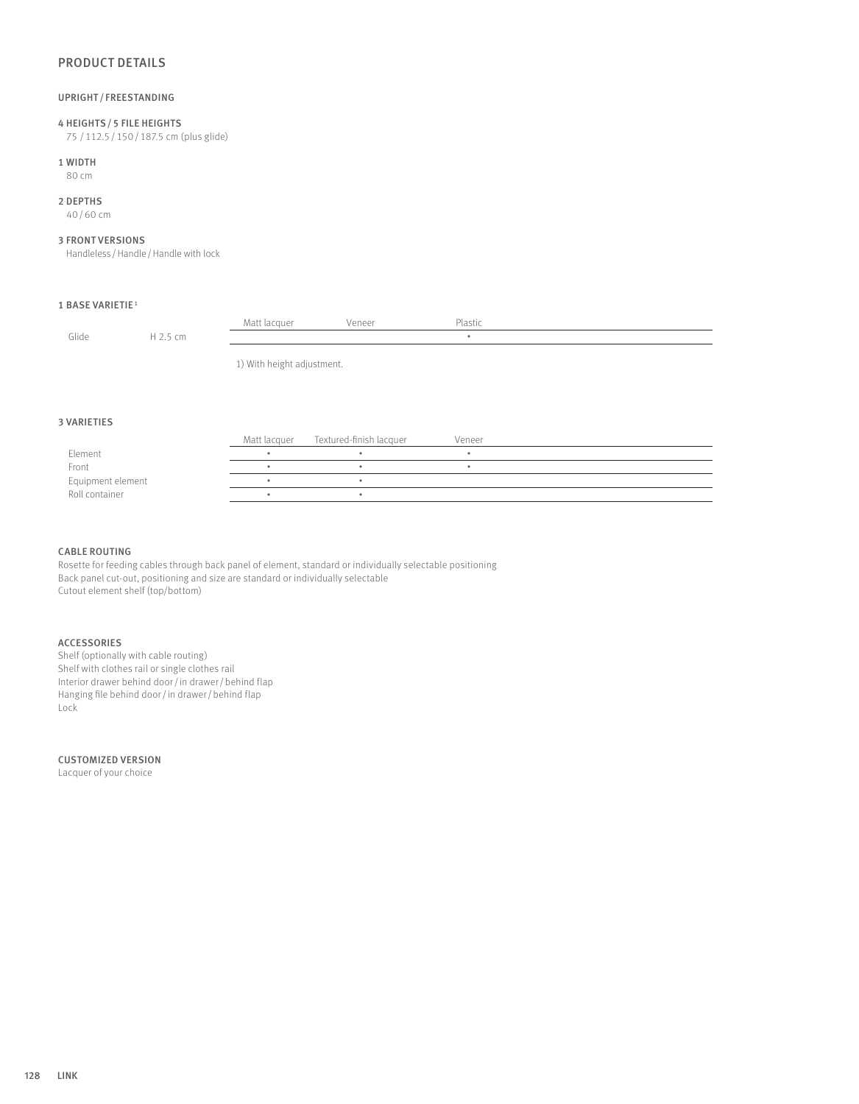# PRODUCT DETAILS

## UPRIGHT / FREESTANDING

# 4 HEIGHTS/5 FILE HEIGHTS

75 /112.5/150/187.5 cm (plus glide)

# 1 WIDTH

80 cm

## 2 DEPTHS

40/60 cm

### 3 FRONT VERSIONS

Handleless / Handle / Handle with lock

## 1 BASE VARIETIE <sup>1</sup>

|       |          | Matt lacquer               | Veneer | Plastic |  |  |  |
|-------|----------|----------------------------|--------|---------|--|--|--|
| Glide | H 2.5 cm |                            |        |         |  |  |  |
|       |          |                            |        |         |  |  |  |
|       |          | 1) With height adjustment. |        |         |  |  |  |

#### 3 VARIETIES

|                   | Matt lacquer Textured-finish lacquer | Veneer |  |
|-------------------|--------------------------------------|--------|--|
| Element           |                                      |        |  |
| Front             |                                      |        |  |
| Equipment element |                                      |        |  |
| Roll container    |                                      |        |  |

## CABLE ROUTING

Rosette for feeding cables through back panel of element, standard or individually selectable positioning Back panel cut-out, positioning and size are standard or individually selectable Cutout element shelf (top/bottom)

# ACCESSORIES

Shelf (optionally with cable routing) Shelf with clothes rail or single clothes rail Interior drawer behind door/in drawer/behind flap Hanging file behind door / in drawer / behind flap Lock

## CUSTOMIZED VERSION

Lacquer of your choice